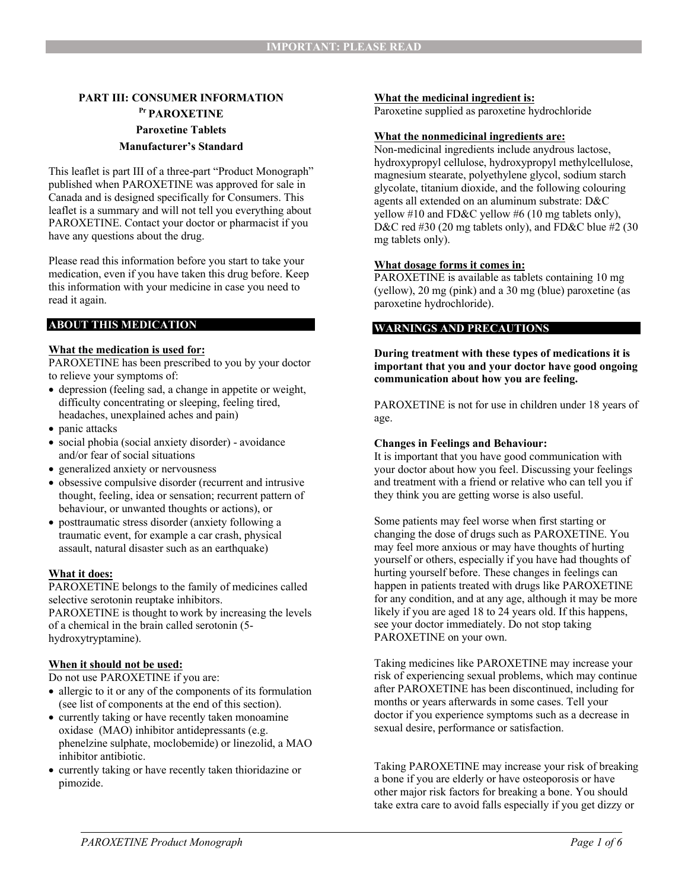# **PART III: CONSUMER INFORMATION Pr PAROXETINE Paroxetine Tablets Manufacturer's Standard**

This leaflet is part III of a three-part "Product Monograph" published when PAROXETINE was approved for sale in Canada and is designed specifically for Consumers. This leaflet is a summary and will not tell you everything about PAROXETINE. Contact your doctor or pharmacist if you have any questions about the drug.

Please read this information before you start to take your medication, even if you have taken this drug before. Keep this information with your medicine in case you need to read it again.

## **ABOUT THIS MEDICATION**

### **What the medication is used for:**

PAROXETINE has been prescribed to you by your doctor to relieve your symptoms of:

- depression (feeling sad, a change in appetite or weight, difficulty concentrating or sleeping, feeling tired, headaches, unexplained aches and pain)
- panic attacks
- social phobia (social anxiety disorder) avoidance and/or fear of social situations
- generalized anxiety or nervousness
- obsessive compulsive disorder (recurrent and intrusive thought, feeling, idea or sensation; recurrent pattern of behaviour, or unwanted thoughts or actions), or
- posttraumatic stress disorder (anxiety following a traumatic event, for example a car crash, physical assault, natural disaster such as an earthquake)

## **What it does:**

PAROXETINE belongs to the family of medicines called selective serotonin reuptake inhibitors. PAROXETINE is thought to work by increasing the levels of a chemical in the brain called serotonin (5 hydroxytryptamine).

#### **When it should not be used:**

Do not use PAROXETINE if you are:

- allergic to it or any of the components of its formulation (see list of components at the end of this section).
- currently taking or have recently taken monoamine oxidase (MAO) inhibitor antidepressants (e.g. phenelzine sulphate, moclobemide) or linezolid, a MAO inhibitor antibiotic.
- currently taking or have recently taken thioridazine or pimozide.

### **What the medicinal ingredient is:**

Paroxetine supplied as paroxetine hydrochloride

#### **What the nonmedicinal ingredients are:**

Non-medicinal ingredients include anydrous lactose, hydroxypropyl cellulose, hydroxypropyl methylcellulose, magnesium stearate, polyethylene glycol, sodium starch glycolate, titanium dioxide, and the following colouring agents all extended on an aluminum substrate: D&C yellow #10 and FD&C yellow #6 (10 mg tablets only), D&C red #30 (20 mg tablets only), and FD&C blue #2 (30 mg tablets only).

#### **What dosage forms it comes in:**

PAROXETINE is available as tablets containing 10 mg (yellow), 20 mg (pink) and a 30 mg (blue) paroxetine (as paroxetine hydrochloride).

### **WARNINGS AND PRECAUTIONS**

**During treatment with these types of medications it is important that you and your doctor have good ongoing communication about how you are feeling.**

PAROXETINE is not for use in children under 18 years of age.

#### **Changes in Feelings and Behaviour:**

It is important that you have good communication with your doctor about how you feel. Discussing your feelings and treatment with a friend or relative who can tell you if they think you are getting worse is also useful.

Some patients may feel worse when first starting or changing the dose of drugs such as PAROXETINE. You may feel more anxious or may have thoughts of hurting yourself or others, especially if you have had thoughts of hurting yourself before. These changes in feelings can happen in patients treated with drugs like PAROXETINE for any condition, and at any age, although it may be more likely if you are aged 18 to 24 years old. If this happens, see your doctor immediately. Do not stop taking PAROXETINE on your own.

Taking medicines like PAROXETINE may increase your risk of experiencing sexual problems, which may continue after PAROXETINE has been discontinued, including for months or years afterwards in some cases. Tell your doctor if you experience symptoms such as a decrease in sexual desire, performance or satisfaction.

Taking PAROXETINE may increase your risk of breaking a bone if you are elderly or have osteoporosis or have other major risk factors for breaking a bone. You should take extra care to avoid falls especially if you get dizzy or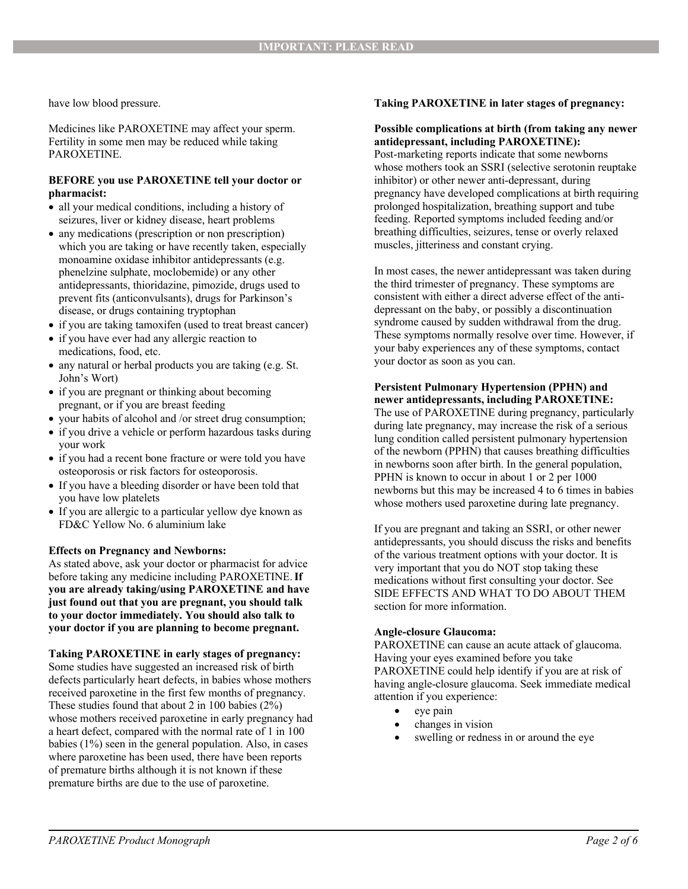have low blood pressure.

Medicines like PAROXETINE may affect your sperm. Fertility in some men may be reduced while taking PAROXETINE.

### **BEFORE you use PAROXETINE tell your doctor or pharmacist:**

- all your medical conditions, including a history of seizures, liver or kidney disease, heart problems
- any medications (prescription or non prescription) which you are taking or have recently taken, especially monoamine oxidase inhibitor antidepressants (e.g. phenelzine sulphate, moclobemide) or any other antidepressants, thioridazine, pimozide, drugs used to prevent fits (anticonvulsants), drugs for Parkinson's disease, or drugs containing tryptophan
- if you are taking tamoxifen (used to treat breast cancer)
- if you have ever had any allergic reaction to medications, food, etc.
- any natural or herbal products you are taking (e.g. St. John's Wort)
- if you are pregnant or thinking about becoming pregnant, or if you are breast feeding
- your habits of alcohol and /or street drug consumption;
- if you drive a vehicle or perform hazardous tasks during your work
- if you had a recent bone fracture or were told you have osteoporosis or risk factors for osteoporosis.
- If you have a bleeding disorder or have been told that you have low platelets
- If you are allergic to a particular yellow dye known as FD&C Yellow No. 6 aluminium lake

#### **Effects on Pregnancy and Newborns:**

As stated above, ask your doctor or pharmacist for advice before taking any medicine including PAROXETINE.**If you are already taking/using PAROXETINE and have just found out that you are pregnant, you should talk to your doctor immediately. You should also talk to your doctor if you are planning to become pregnant.**

**Taking PAROXETINE in early stages of pregnancy:** Some studies have suggested an increased risk of birth defects particularly heart defects, in babies whose mothers received paroxetine in the first few months of pregnancy. These studies found that about 2 in 100 babies (2%) whose mothers received paroxetine in early pregnancy had a heart defect, compared with the normal rate of 1 in 100 babies (1%) seen in the general population. Also, in cases where paroxetine has been used, there have been reports of premature births although it is not known if these premature births are due to the use of paroxetine.

## **Taking PAROXETINE in later stages of pregnancy:**

#### **Possible complications at birth (from taking any newer antidepressant, including PAROXETINE):**

Post-marketing reports indicate that some newborns whose mothers took an SSRI (selective serotonin reuptake inhibitor) or other newer anti-depressant, during pregnancy have developed complications at birth requiring prolonged hospitalization, breathing support and tube feeding. Reported symptoms included feeding and/or breathing difficulties, seizures, tense or overly relaxed muscles, jitteriness and constant crying.

In most cases, the newer antidepressant was taken during the third trimester of pregnancy. These symptoms are consistent with either a direct adverse effect of the antidepressant on the baby, or possibly a discontinuation syndrome caused by sudden withdrawal from the drug. These symptoms normally resolve over time. However, if your baby experiences any of these symptoms, contact your doctor as soon as you can.

### **Persistent Pulmonary Hypertension (PPHN) and newer antidepressants, including PAROXETINE:**

The use of PAROXETINE during pregnancy, particularly during late pregnancy, may increase the risk of a serious lung condition called persistent pulmonary hypertension of the newborn (PPHN) that causes breathing difficulties in newborns soon after birth. In the general population, PPHN is known to occur in about 1 or 2 per 1000 newborns but this may be increased 4 to 6 times in babies whose mothers used paroxetine during late pregnancy.

If you are pregnant and taking an SSRI, or other newer antidepressants, you should discuss the risks and benefits of the various treatment options with your doctor. It is very important that you do NOT stop taking these medications without first consulting your doctor. See SIDE EFFECTS AND WHAT TO DO ABOUT THEM section for more information.

#### **Angle-closure Glaucoma:**

PAROXETINE can cause an acute attack of glaucoma. Having your eyes examined before you take PAROXETINE could help identify if you are at risk of having angle-closure glaucoma. Seek immediate medical attention if you experience:

- eye pain
- changes in vision
- swelling or redness in or around the eye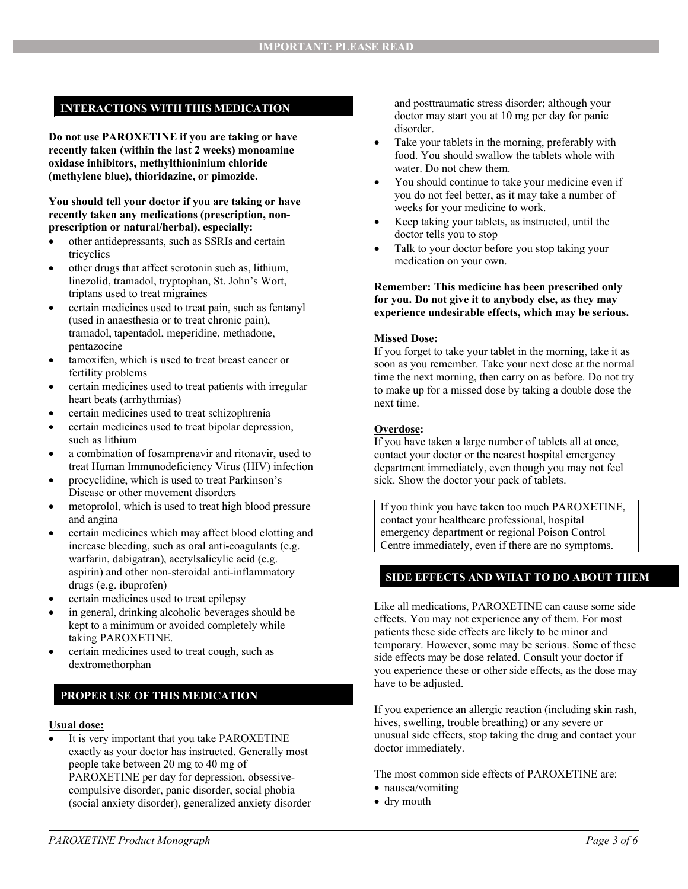## **INTERACTIONS WITH THIS MEDICATION**

**Do not use PAROXETINE if you are taking or have recently taken (within the last 2 weeks) monoamine oxidase inhibitors, methylthioninium chloride (methylene blue), thioridazine, or pimozide.**

**You should tell your doctor if you are taking or have recently taken any medications (prescription, nonprescription or natural/herbal), especially:**

- other antidepressants, such as SSRIs and certain tricyclics
- other drugs that affect serotonin such as, lithium, linezolid, tramadol, tryptophan, St. John's Wort, triptans used to treat migraines
- certain medicines used to treat pain, such as fentanyl (used in anaesthesia or to treat chronic pain), tramadol, tapentadol, meperidine, methadone, pentazocine
- tamoxifen, which is used to treat breast cancer or fertility problems
- certain medicines used to treat patients with irregular heart beats (arrhythmias)
- certain medicines used to treat schizophrenia
- certain medicines used to treat bipolar depression, such as lithium
- a combination of fosamprenavir and ritonavir, used to treat Human Immunodeficiency Virus (HIV) infection
- procyclidine, which is used to treat Parkinson's Disease or other movement disorders
- metoprolol, which is used to treat high blood pressure and angina
- certain medicines which may affect blood clotting and increase bleeding, such as oral anti-coagulants (e.g. warfarin, dabigatran), acetylsalicylic acid (e.g. aspirin) and other non-steroidal anti-inflammatory drugs (e.g. ibuprofen)
- certain medicines used to treat epilepsy
- in general, drinking alcoholic beverages should be kept to a minimum or avoided completely while taking PAROXETINE.
- certain medicines used to treat cough, such as dextromethorphan

## **PROPER USE OF THIS MEDICATION**

#### **Usual dose:**

 It is very important that you take PAROXETINE exactly as your doctor has instructed. Generally most people take between 20 mg to 40 mg of PAROXETINE per day for depression, obsessivecompulsive disorder, panic disorder, social phobia (social anxiety disorder), generalized anxiety disorder and posttraumatic stress disorder; although your doctor may start you at 10 mg per day for panic disorder.

- Take your tablets in the morning, preferably with food. You should swallow the tablets whole with water. Do not chew them.
- You should continue to take your medicine even if you do not feel better, as it may take a number of weeks for your medicine to work.
- Keep taking your tablets, as instructed, until the doctor tells you to stop
- Talk to your doctor before you stop taking your medication on your own.

#### **Remember: This medicine has been prescribed only for you. Do not give it to anybody else, as they may experience undesirable effects, which may be serious.**

#### **Missed Dose:**

If you forget to take your tablet in the morning, take it as soon as you remember. Take your next dose at the normal time the next morning, then carry on as before. Do not try to make up for a missed dose by taking a double dose the next time.

#### **Overdose:**

If you have taken a large number of tablets all at once, contact your doctor or the nearest hospital emergency department immediately, even though you may not feel sick. Show the doctor your pack of tablets.

If you think you have taken too much PAROXETINE, contact your healthcare professional, hospital emergency department or regional Poison Control Centre immediately, even if there are no symptoms.

## **SIDE EFFECTS AND WHAT TO DO ABOUT THEM**

Like all medications, PAROXETINE can cause some side effects. You may not experience any of them. For most patients these side effects are likely to be minor and temporary. However, some may be serious. Some of these side effects may be dose related. Consult your doctor if you experience these or other side effects, as the dose may have to be adjusted.

If you experience an allergic reaction (including skin rash, hives, swelling, trouble breathing) or any severe or unusual side effects, stop taking the drug and contact your doctor immediately.

The most common side effects of PAROXETINE are:

- nausea/vomiting
- dry mouth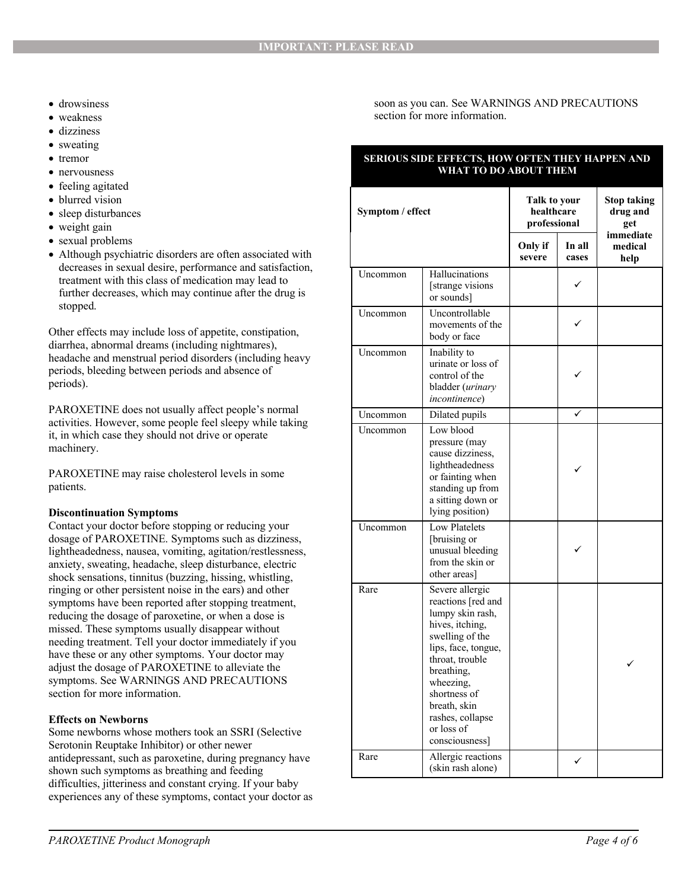- drowsiness
- weakness
- dizziness
- sweating
- tremor
- nervousness
- feeling agitated
- blurred vision
- sleep disturbances
- weight gain
- sexual problems
- Although psychiatric disorders are often associated with decreases in sexual desire, performance and satisfaction, treatment with this class of medication may lead to further decreases, which may continue after the drug is stopped.

Other effects may include loss of appetite, constipation, diarrhea, abnormal dreams (including nightmares), headache and menstrual period disorders (including heavy periods, bleeding between periods and absence of periods).

PAROXETINE does not usually affect people's normal activities. However, some people feel sleepy while taking it, in which case they should not drive or operate machinery.

PAROXETINE may raise cholesterol levels in some patients.

## **Discontinuation Symptoms**

Contact your doctor before stopping or reducing your dosage of PAROXETINE. Symptoms such as dizziness, lightheadedness, nausea, vomiting, agitation/restlessness, anxiety, sweating, headache, sleep disturbance, electric shock sensations, tinnitus (buzzing, hissing, whistling, ringing or other persistent noise in the ears) and other symptoms have been reported after stopping treatment, reducing the dosage of paroxetine, or when a dose is missed. These symptoms usually disappear without needing treatment. Tell your doctor immediately if you have these or any other symptoms. Your doctor may adjust the dosage of PAROXETINE to alleviate the symptoms. See WARNINGS AND PRECAUTIONS section for more information.

## **Effects on Newborns**

Some newborns whose mothers took an SSRI (Selective Serotonin Reuptake Inhibitor) or other newer antidepressant, such as paroxetine, during pregnancy have shown such symptoms as breathing and feeding difficulties, jitteriness and constant crying. If your baby experiences any of these symptoms, contact your doctor as soon as you can. See WARNINGS AND PRECAUTIONS section for more information.

### **SERIOUS SIDE EFFECTS, HOW OFTEN THEY HAPPEN AND WHAT TO DO ABOUT THEM**

| Symptom / effect |                                                                                                                                                                                                                                                          | Talk to your<br>healthcare<br>professional |                 | <b>Stop taking</b><br>drug and<br>get |
|------------------|----------------------------------------------------------------------------------------------------------------------------------------------------------------------------------------------------------------------------------------------------------|--------------------------------------------|-----------------|---------------------------------------|
|                  |                                                                                                                                                                                                                                                          | Only if<br>severe                          | In all<br>cases | immediate<br>medical<br>help          |
| Uncommon         | Hallucinations<br>[strange visions]<br>or sounds]                                                                                                                                                                                                        |                                            |                 |                                       |
| Uncommon         | Uncontrollable<br>movements of the<br>body or face                                                                                                                                                                                                       |                                            |                 |                                       |
| Uncommon         | Inability to<br>urinate or loss of<br>control of the<br>bladder (urinary<br><i>incontinence</i> )                                                                                                                                                        |                                            |                 |                                       |
| Uncommon         | Dilated pupils                                                                                                                                                                                                                                           |                                            |                 |                                       |
| Uncommon         | Low blood<br>pressure (may<br>cause dizziness,<br>lightheadedness<br>or fainting when<br>standing up from<br>a sitting down or<br>lying position)                                                                                                        |                                            |                 |                                       |
| Uncommon         | Low Platelets<br>[bruising or<br>unusual bleeding<br>from the skin or<br>other areas]                                                                                                                                                                    |                                            |                 |                                       |
| Rare             | Severe allergic<br>reactions [red and<br>lumpy skin rash,<br>hives, itching,<br>swelling of the<br>lips, face, tongue,<br>throat, trouble<br>breathing,<br>wheezing,<br>shortness of<br>breath, skin<br>rashes, collapse<br>or loss of<br>consciousness] |                                            |                 |                                       |
| Rare             | Allergic reactions<br>(skin rash alone)                                                                                                                                                                                                                  |                                            | ✓               |                                       |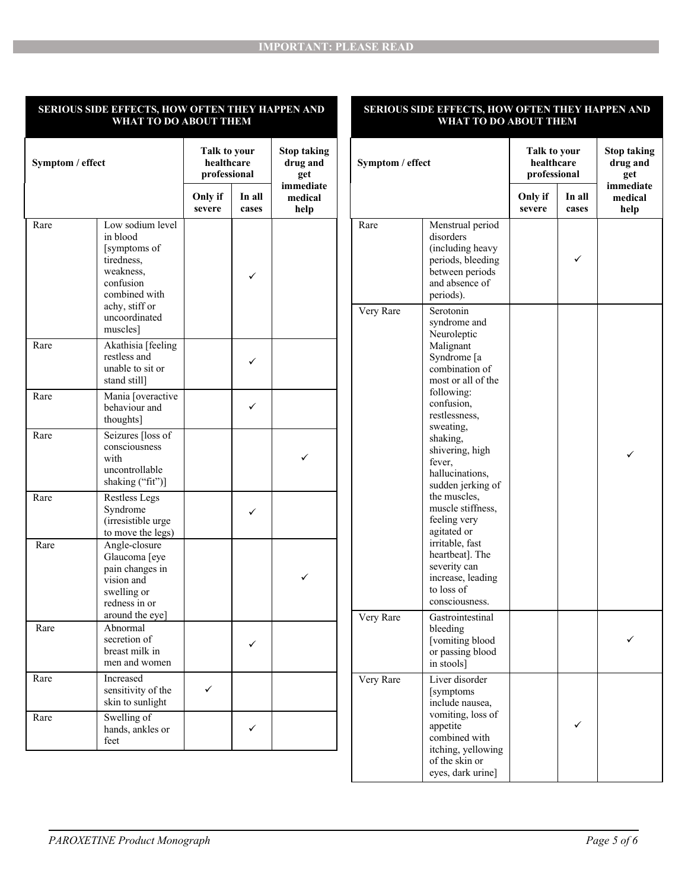### **SERIOUS SIDE EFFECTS, HOW OFTEN THEY HAPPEN AND WHAT TO DO ABOUT THEM**

### **SERIOUS SIDE EFFECTS, HOW OFTEN THEY HAPPEN AND WHAT TO DO ABOUT THEM**

| Symptom / effect |                                                                                                                         | Talk to your<br><b>Stop taking</b><br>healthcare<br>drug and<br>professional<br>get |                 | Symptom / effect             |           | Talk to your<br>healthcare<br>professional                                                                               |                   | <b>Stop taking</b><br>drug and<br>get |                              |
|------------------|-------------------------------------------------------------------------------------------------------------------------|-------------------------------------------------------------------------------------|-----------------|------------------------------|-----------|--------------------------------------------------------------------------------------------------------------------------|-------------------|---------------------------------------|------------------------------|
|                  |                                                                                                                         | Only if<br>severe                                                                   | In all<br>cases | immediate<br>medical<br>help |           |                                                                                                                          | Only if<br>severe | In all<br>cases                       | immediate<br>medical<br>help |
| Rare             | Low sodium level<br>in blood<br>[symptoms of<br>tiredness,<br>weakness,<br>confusion<br>combined with<br>achy, stiff or |                                                                                     | ✓               |                              | Rare      | Menstrual period<br>disorders<br>(including heavy<br>periods, bleeding<br>between periods<br>and absence of<br>periods). |                   | $\checkmark$                          |                              |
|                  | uncoordinated<br>muscles]                                                                                               |                                                                                     |                 |                              | Very Rare | Serotonin<br>syndrome and<br>Neuroleptic                                                                                 |                   |                                       |                              |
| Rare             | Akathisia [feeling]<br>restless and<br>unable to sit or<br>stand still]                                                 |                                                                                     | ✓               |                              |           | Malignant<br>Syndrome [a<br>combination of<br>most or all of the                                                         |                   |                                       |                              |
| Rare             | Mania [overactive<br>behaviour and<br>thoughts]                                                                         |                                                                                     | $\checkmark$    |                              |           | following:<br>confusion,<br>restlessness,                                                                                |                   |                                       |                              |
| Rare             | Seizures [loss of<br>consciousness<br>with<br>uncontrollable<br>shaking ("fit")]                                        |                                                                                     |                 | ✓                            |           | sweating,<br>shaking,<br>shivering, high<br>fever,<br>hallucinations,<br>sudden jerking of                               |                   |                                       |                              |
| Rare             | <b>Restless Legs</b><br>Syndrome<br>(irresistible urge<br>to move the legs)                                             |                                                                                     | ✓               |                              |           | the muscles,<br>muscle stiffness,<br>feeling very<br>agitated or                                                         |                   |                                       |                              |
| Rare             | Angle-closure<br>Glaucoma [eye<br>pain changes in<br>vision and<br>swelling or<br>redness in or                         |                                                                                     |                 | ✓                            |           | irritable, fast<br>heartbeat]. The<br>severity can<br>increase, leading<br>to loss of<br>consciousness.                  |                   |                                       |                              |
| Rare             | around the eye]<br>Abnormal<br>secretion of<br>breast milk in<br>men and women                                          |                                                                                     | ✓               |                              | Very Rare | Gastrointestinal<br>bleeding<br>[vomiting blood<br>or passing blood<br>in stools]                                        |                   |                                       |                              |
| Rare             | Increased<br>sensitivity of the<br>skin to sunlight                                                                     | ✓                                                                                   |                 |                              | Very Rare | Liver disorder<br>[symptoms]<br>include nausea,                                                                          |                   |                                       |                              |
| Rare             | Swelling of<br>hands, ankles or<br>feet                                                                                 |                                                                                     | $\checkmark$    |                              |           | vomiting, loss of<br>appetite<br>combined with<br>itching, yellowing<br>of the skin or                                   |                   | $\checkmark$                          |                              |
|                  |                                                                                                                         |                                                                                     |                 |                              |           | eyes, dark urine]                                                                                                        |                   |                                       |                              |